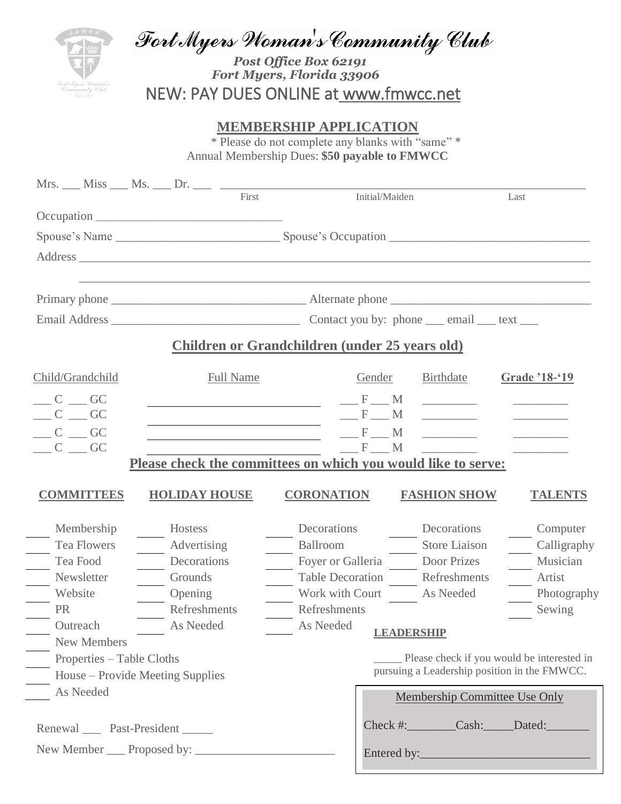Fort Myers Woman's Community Club

 *Post Office Box 62191 Fort Myers, Florida 33906* NEW: PAY DUES ONLINE at www.fmwcc.net

## **MEMBERSHIP APPLICATION**

\* Please do not complete any blanks with "same" \* Annual Membership Dues: **\$50 payable to FMWCC**

| Mrs. ___ Miss ____ Ms. ____ Dr. ____ $\frac{5}{2}$ |                                                                                                                                                                                                                                                                                      |                  |                                                               |                                                                                                 |                                                                                                                                   |                       |  |
|----------------------------------------------------|--------------------------------------------------------------------------------------------------------------------------------------------------------------------------------------------------------------------------------------------------------------------------------------|------------------|---------------------------------------------------------------|-------------------------------------------------------------------------------------------------|-----------------------------------------------------------------------------------------------------------------------------------|-----------------------|--|
|                                                    |                                                                                                                                                                                                                                                                                      |                  |                                                               | Initial/Maiden                                                                                  |                                                                                                                                   | Last                  |  |
|                                                    |                                                                                                                                                                                                                                                                                      |                  |                                                               |                                                                                                 |                                                                                                                                   |                       |  |
|                                                    |                                                                                                                                                                                                                                                                                      |                  |                                                               |                                                                                                 |                                                                                                                                   |                       |  |
|                                                    |                                                                                                                                                                                                                                                                                      |                  |                                                               |                                                                                                 |                                                                                                                                   |                       |  |
|                                                    |                                                                                                                                                                                                                                                                                      |                  |                                                               |                                                                                                 |                                                                                                                                   |                       |  |
|                                                    |                                                                                                                                                                                                                                                                                      |                  |                                                               |                                                                                                 |                                                                                                                                   |                       |  |
|                                                    |                                                                                                                                                                                                                                                                                      |                  |                                                               |                                                                                                 |                                                                                                                                   |                       |  |
|                                                    |                                                                                                                                                                                                                                                                                      |                  | Children or Grandchildren (under 25 years old)                |                                                                                                 |                                                                                                                                   |                       |  |
| Child/Grandchild                                   |                                                                                                                                                                                                                                                                                      | <b>Full Name</b> |                                                               | Gender                                                                                          | Birthdate                                                                                                                         | Grade '18-'19         |  |
| $C \_\_G$ GC                                       |                                                                                                                                                                                                                                                                                      |                  |                                                               | $-F$ M                                                                                          | $\overline{\phantom{a}}$ . The contract of $\overline{\phantom{a}}$                                                               |                       |  |
| $C \_\_G$ GC                                       |                                                                                                                                                                                                                                                                                      |                  |                                                               | $-F$ M                                                                                          | $\frac{1}{2} \left( \frac{1}{2} \right)^2 \left( \frac{1}{2} \right)^2 \left( \frac{1}{2} \right)^2 \left( \frac{1}{2} \right)^2$ |                       |  |
| $C \_\_\text{GC}$                                  | <u> 1989 - Johann Barnett, fransk politiker (d. 1989)</u><br>F M<br>$\mathcal{L}^{\text{max}}_{\text{max}}$ , where $\mathcal{L}^{\text{max}}_{\text{max}}$<br><u> 1989 - Johann Stein, marwolaethau a bhann an t-Amhainn an t-Amhainn an t-Amhainn an t-Amhainn an t-Amhainn an</u> |                  |                                                               |                                                                                                 |                                                                                                                                   |                       |  |
| $C \_\_\text{GC}$                                  |                                                                                                                                                                                                                                                                                      |                  |                                                               | $-F$ $M$                                                                                        |                                                                                                                                   |                       |  |
|                                                    |                                                                                                                                                                                                                                                                                      |                  | Please check the committees on which you would like to serve: |                                                                                                 |                                                                                                                                   |                       |  |
| <b>COMMITTEES</b>                                  | <b>HOLIDAY HOUSE</b>                                                                                                                                                                                                                                                                 |                  | <b>CORONATION</b>                                             |                                                                                                 | <b>FASHION SHOW</b>                                                                                                               | <b>TALENTS</b>        |  |
| Membership                                         | Hostess                                                                                                                                                                                                                                                                              |                  | Decorations                                                   |                                                                                                 | Decorations                                                                                                                       | Computer              |  |
| <b>Tea Flowers</b>                                 | Advertising                                                                                                                                                                                                                                                                          |                  | Ballroom                                                      |                                                                                                 | Store Liaison                                                                                                                     | Calligraphy           |  |
| Tea Food                                           | Decorations                                                                                                                                                                                                                                                                          |                  | Foyer or Galleria Door Prizes                                 |                                                                                                 |                                                                                                                                   | Musician              |  |
| Newsletter                                         | Grounds                                                                                                                                                                                                                                                                              |                  | Table Decoration                                              |                                                                                                 | Refreshments                                                                                                                      | Artist                |  |
| Website                                            | $\frac{1}{2}$ Opening                                                                                                                                                                                                                                                                |                  | Work with Court                                               |                                                                                                 | As Needed                                                                                                                         | Photography           |  |
| PR                                                 | Refreshments                                                                                                                                                                                                                                                                         |                  | Refreshments                                                  |                                                                                                 |                                                                                                                                   | Sewing                |  |
| Outreach                                           | As Needed                                                                                                                                                                                                                                                                            |                  | As Needed                                                     | LEADERSHIP                                                                                      |                                                                                                                                   |                       |  |
| New Members                                        |                                                                                                                                                                                                                                                                                      |                  |                                                               |                                                                                                 |                                                                                                                                   |                       |  |
| Properties – Table Cloths                          |                                                                                                                                                                                                                                                                                      |                  |                                                               | ____ Please check if you would be interested in<br>pursuing a Leadership position in the FMWCC. |                                                                                                                                   |                       |  |
|                                                    | House – Provide Meeting Supplies                                                                                                                                                                                                                                                     |                  |                                                               |                                                                                                 |                                                                                                                                   |                       |  |
| As Needed                                          |                                                                                                                                                                                                                                                                                      |                  |                                                               |                                                                                                 | Membership Committee Use Only                                                                                                     |                       |  |
| Renewal Past-President                             |                                                                                                                                                                                                                                                                                      |                  |                                                               |                                                                                                 |                                                                                                                                   | Check #: Cash: Dated: |  |
|                                                    |                                                                                                                                                                                                                                                                                      |                  |                                                               |                                                                                                 |                                                                                                                                   |                       |  |